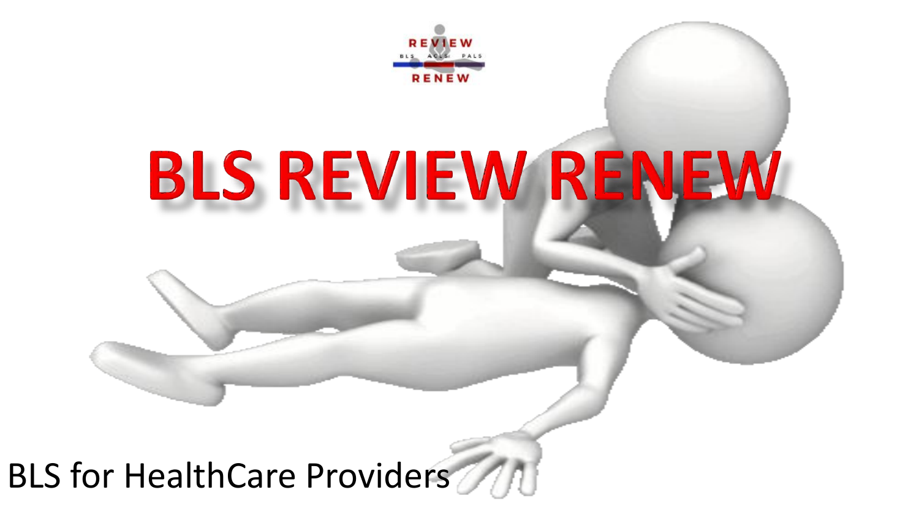

# **BLS REVIEW RENEW**

### BLS for HealthCare Providers MAI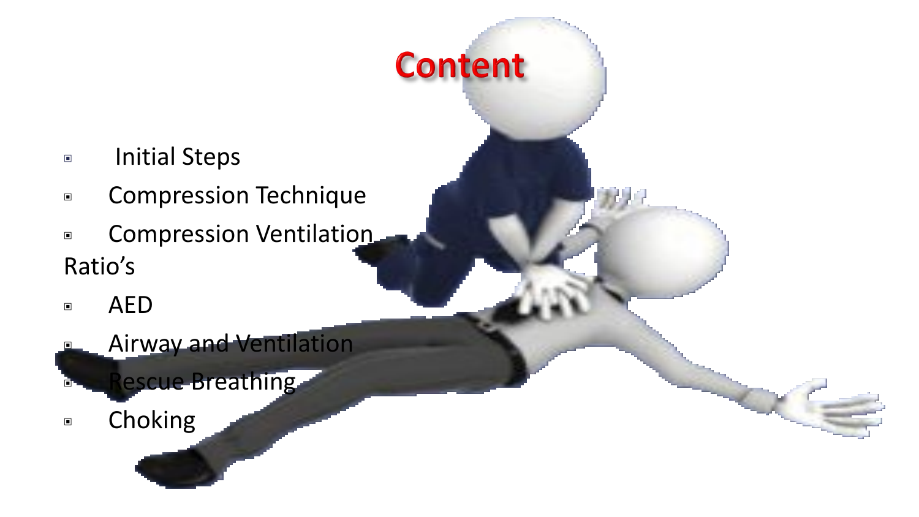- Initial Steps
- ▣ Compression Technique

**Content** 

- ▣ Compression Ventilation Ratio's
- ▣ AED
- **Airway and Ventilation** 
	- **Rescue Breathing**
- ▣ Choking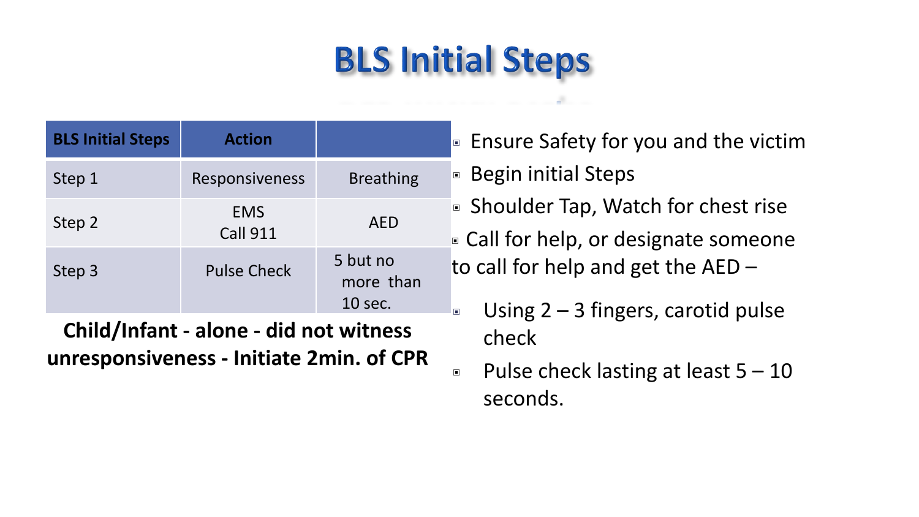### **BLS Initial Steps**

| <b>BLS Initial Steps</b> | <b>Action</b>                 |                                  |  |
|--------------------------|-------------------------------|----------------------------------|--|
| Step 1                   | Responsiveness                | <b>Breathing</b>                 |  |
| Step 2                   | <b>EMS</b><br><b>Call 911</b> | <b>AED</b>                       |  |
| Step 3                   | <b>Pulse Check</b>            | 5 but no<br>more than<br>10 sec. |  |

**Child/Infant - alone - did not witness unresponsiveness - Initiate 2min. of CPR**

- Ensure Safety for you and the victim
- Begin initial Steps
- Shoulder Tap, Watch for chest rise
- ▣ Call for help, or designate someone to call for help and get the AED –
	- Using  $2 3$  fingers, carotid pulse check
- **E** Pulse check lasting at least  $5 10$ seconds.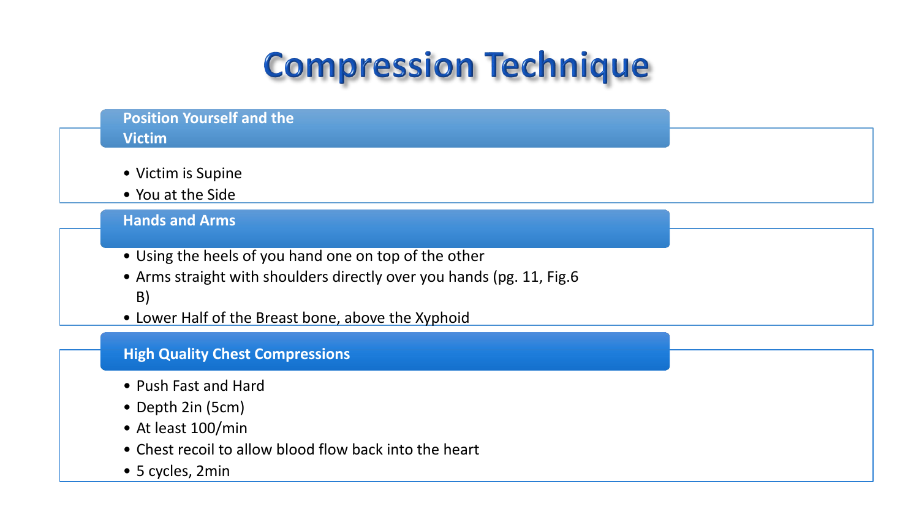### **Compression Technique**

#### **Position Yourself and the Victim** • Victim is Supine • You at the Side **Hands and Arms** • Using the heels of you hand one on top of the other • Arms straight with shoulders directly over you hands (pg. 11, Fig.6 B) • Lower Half of the Breast bone, above the Xyphoid

#### **High Quality Chest Compressions**

- Push Fast and Hard
- Depth 2in (5cm)
- At least 100/min
- Chest recoil to allow blood flow back into the heart
- 5 cycles, 2min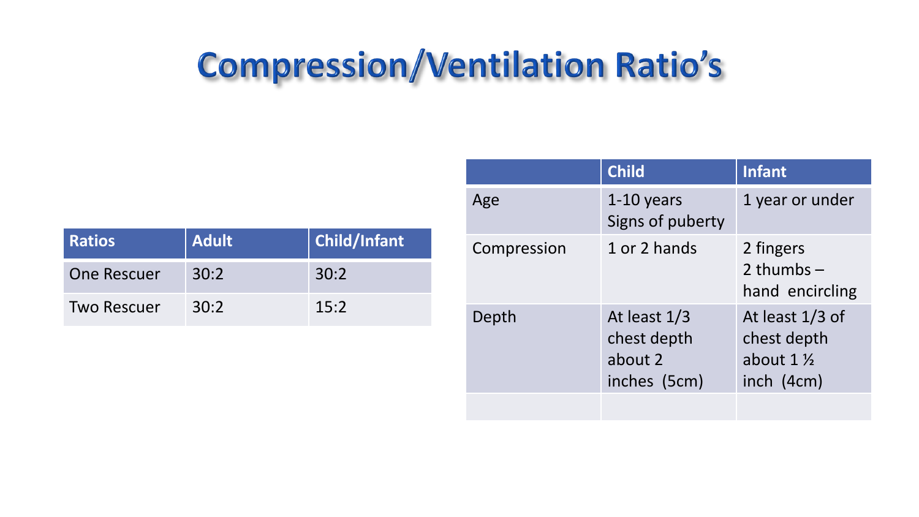### **Compression/Ventilation Ratio's**

| <b>Ratios</b>      | <b>Adult</b> | <b>Child/Infant</b> |
|--------------------|--------------|---------------------|
| <b>One Rescuer</b> | 30:2         | 30:2                |
| <b>Two Rescuer</b> | 30:2         | 15:2                |

|             | <b>Child</b>                                             | <b>Infant</b>                                                         |
|-------------|----------------------------------------------------------|-----------------------------------------------------------------------|
| Age         | $1-10$ years<br>Signs of puberty                         | 1 year or under                                                       |
| Compression | 1 or 2 hands                                             | 2 fingers<br>2 thumbs $-$<br>hand encircling                          |
| Depth       | At least $1/3$<br>chest depth<br>about 2<br>inches (5cm) | At least $1/3$ of<br>chest depth<br>about $1\frac{1}{2}$<br>inch(4cm) |
|             |                                                          |                                                                       |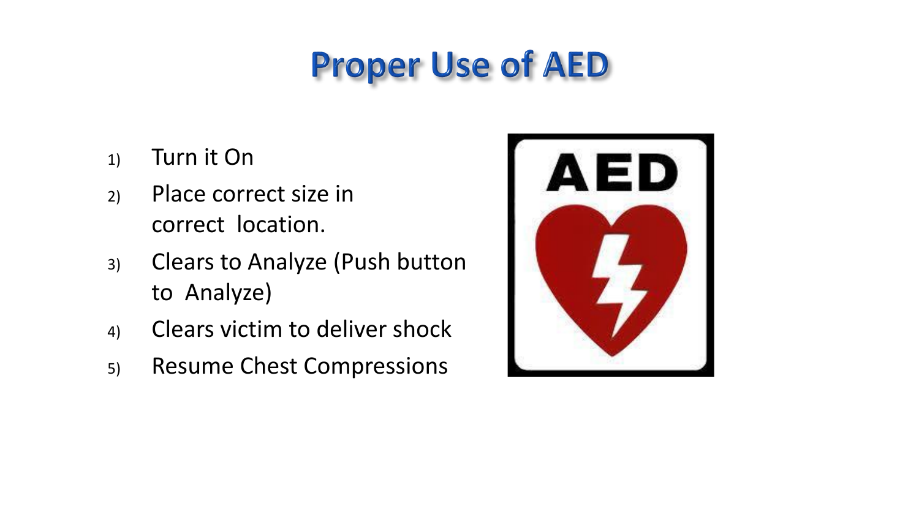### **Proper Use of AED**

- 1) Turn it On
- 2) Place correct size in correct location.
- 3) Clears to Analyze (Push button to Analyze)
- 4) Clears victim to deliver shock
- 5) Resume Chest Compressions

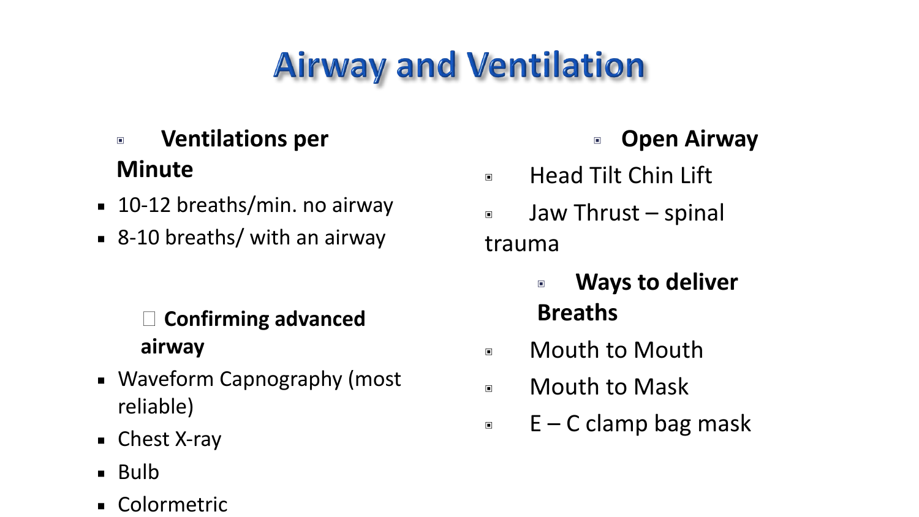## **Airway and Ventilation**

### ▣ **Ventilations per Minute**

- 10-12 breaths/min. no airway
- 8-10 breaths/ with an airway

#### **Confirming advanced airway**

- Waveform Capnography (most reliable)
- Chest X-ray
- Bulb
- Colormetric

### ▣ **Open Airway**

- ▣ Head Tilt Chin Lift
- ▣ Jaw Thrust spinal trauma
	- ▣ **Ways to deliver Breaths**
- ▣ Mouth to Mouth
- ▣ Mouth to Mask
- $E C$  clamp bag mask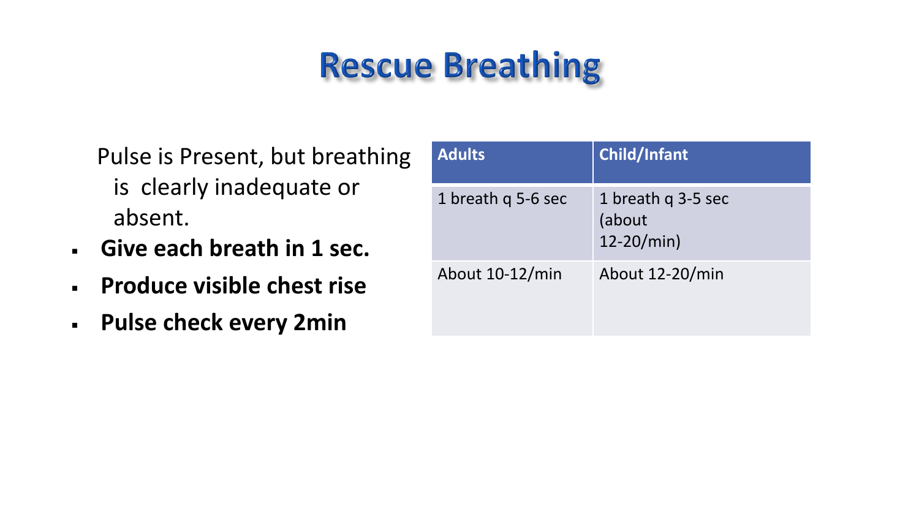### **Rescue Breathing**

- Pulse is Present, but breathing is clearly inadequate or absent.
- **Give each breath in 1 sec.**
- **Produce visible chest rise**
- **Pulse check every 2min**

| <b>Adults</b>      | <b>Child/Infant</b>                           |
|--------------------|-----------------------------------------------|
| 1 breath q 5-6 sec | 1 breath q 3-5 sec<br>(about<br>$12 - 20/min$ |
| About 10-12/min    | About 12-20/min                               |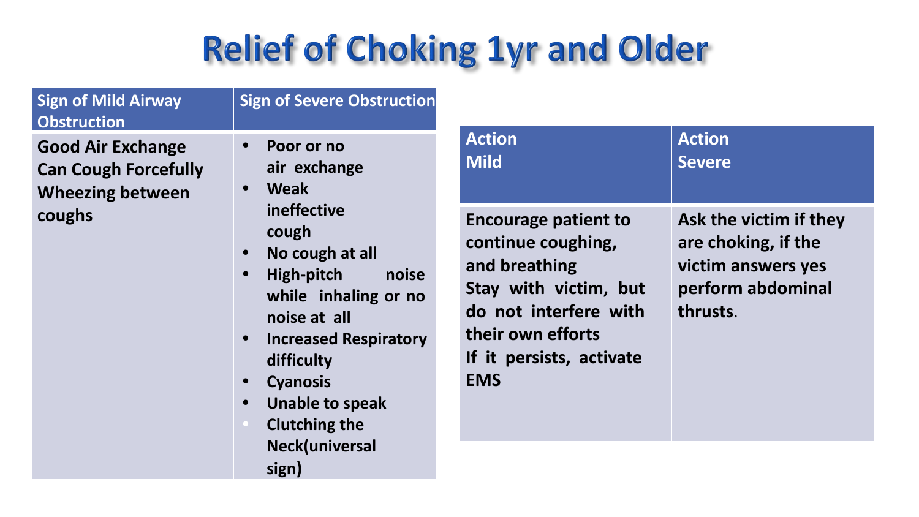### **Relief of Choking 1yr and Older**

|                    | <b>Sign of Mild Airway</b> |
|--------------------|----------------------------|
| <b>Obstruction</b> |                            |
|                    |                            |
|                    |                            |

**Good Air Exchange Can Cough Forcefully Wheezing between coughs**

**• Poor or no air exchange**

**Sign of Severe Obstruction**

- **• Weak ineffective cough**
- **• No cough at all**
- **• High-pitch noise while inhaling or no noise at all**
- **• Increased Respiratory difficulty**
- **• Cyanosis**
- **• Unable to speak**
- **• Clutching the Neck(universal sign)**

| <b>Action</b>                                                                                                                                                                       | <b>Action</b>                                                                                        |
|-------------------------------------------------------------------------------------------------------------------------------------------------------------------------------------|------------------------------------------------------------------------------------------------------|
| <b>Mild</b>                                                                                                                                                                         | <b>Severe</b>                                                                                        |
| <b>Encourage patient to</b><br>continue coughing,<br>and breathing<br>Stay with victim, but<br>do not interfere with<br>their own efforts<br>If it persists, activate<br><b>EMS</b> | Ask the victim if they<br>are choking, if the<br>victim answers yes<br>perform abdominal<br>thrusts. |